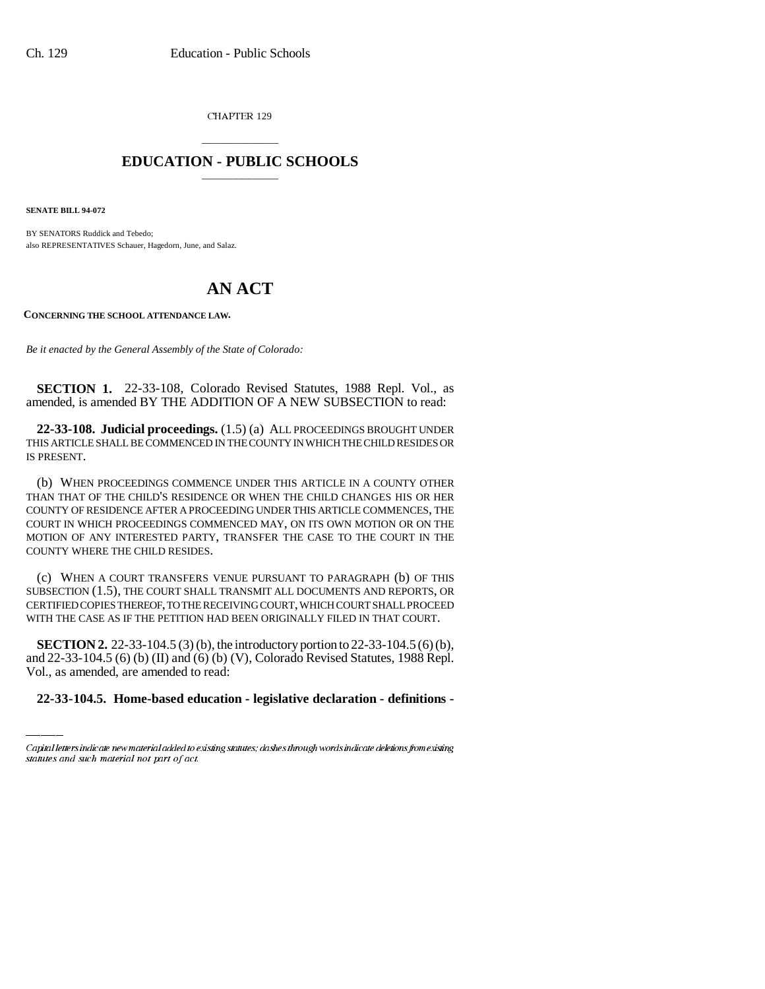CHAPTER 129

## \_\_\_\_\_\_\_\_\_\_\_\_\_\_\_ **EDUCATION - PUBLIC SCHOOLS** \_\_\_\_\_\_\_\_\_\_\_\_\_\_\_

**SENATE BILL 94-072**

BY SENATORS Ruddick and Tebedo; also REPRESENTATIVES Schauer, Hagedorn, June, and Salaz.

## **AN ACT**

**CONCERNING THE SCHOOL ATTENDANCE LAW.**

*Be it enacted by the General Assembly of the State of Colorado:*

**SECTION 1.** 22-33-108, Colorado Revised Statutes, 1988 Repl. Vol., as amended, is amended BY THE ADDITION OF A NEW SUBSECTION to read:

**22-33-108. Judicial proceedings.** (1.5) (a) ALL PROCEEDINGS BROUGHT UNDER THIS ARTICLE SHALL BE COMMENCED IN THE COUNTY IN WHICH THE CHILD RESIDES OR IS PRESENT.

(b) WHEN PROCEEDINGS COMMENCE UNDER THIS ARTICLE IN A COUNTY OTHER THAN THAT OF THE CHILD'S RESIDENCE OR WHEN THE CHILD CHANGES HIS OR HER COUNTY OF RESIDENCE AFTER A PROCEEDING UNDER THIS ARTICLE COMMENCES, THE COURT IN WHICH PROCEEDINGS COMMENCED MAY, ON ITS OWN MOTION OR ON THE MOTION OF ANY INTERESTED PARTY, TRANSFER THE CASE TO THE COURT IN THE COUNTY WHERE THE CHILD RESIDES.

(c) WHEN A COURT TRANSFERS VENUE PURSUANT TO PARAGRAPH (b) OF THIS SUBSECTION (1.5), THE COURT SHALL TRANSMIT ALL DOCUMENTS AND REPORTS, OR CERTIFIED COPIES THEREOF, TO THE RECEIVING COURT, WHICH COURT SHALL PROCEED WITH THE CASE AS IF THE PETITION HAD BEEN ORIGINALLY FILED IN THAT COURT.

**SECTION 2.** 22-33-104.5 (3) (b), the introductory portion to 22-33-104.5 (6) (b), and 22-33-104.5 (6) (b) (II) and (6) (b) (V), Colorado Revised Statutes, 1988 Repl. Vol., as amended, are amended to read:

**22-33-104.5. Home-based education - legislative declaration - definitions -**

Capital letters indicate new material added to existing statutes; dashes through words indicate deletions from existing statutes and such material not part of act.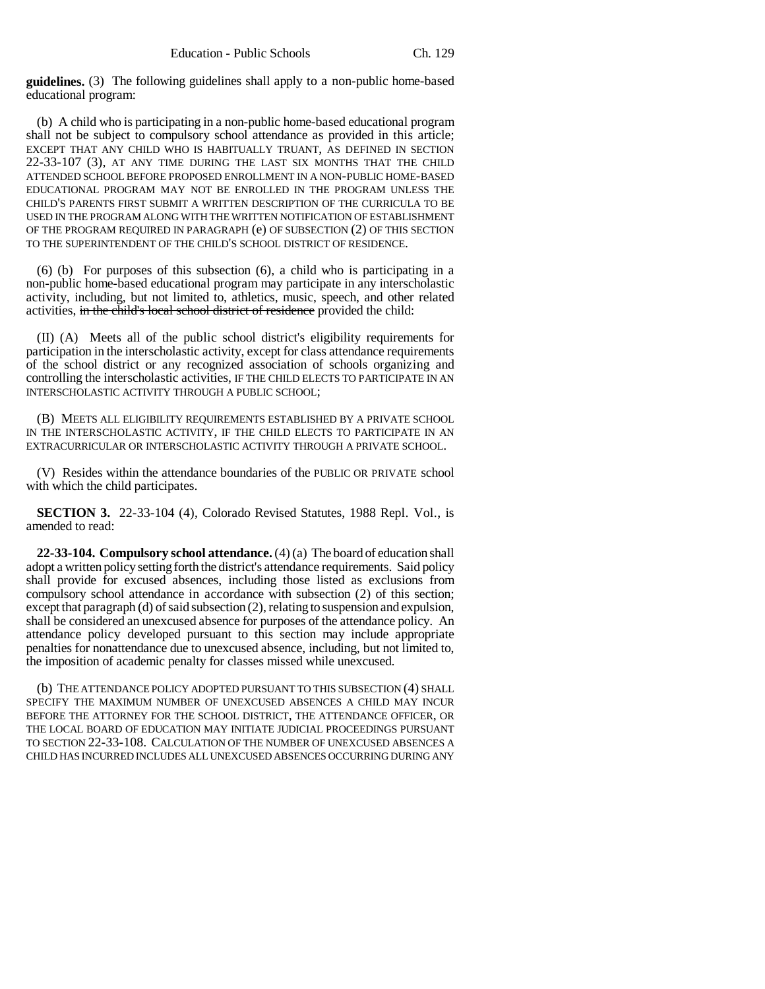**guidelines.** (3) The following guidelines shall apply to a non-public home-based educational program:

(b) A child who is participating in a non-public home-based educational program shall not be subject to compulsory school attendance as provided in this article; EXCEPT THAT ANY CHILD WHO IS HABITUALLY TRUANT, AS DEFINED IN SECTION 22-33-107 (3), AT ANY TIME DURING THE LAST SIX MONTHS THAT THE CHILD ATTENDED SCHOOL BEFORE PROPOSED ENROLLMENT IN A NON-PUBLIC HOME-BASED EDUCATIONAL PROGRAM MAY NOT BE ENROLLED IN THE PROGRAM UNLESS THE CHILD'S PARENTS FIRST SUBMIT A WRITTEN DESCRIPTION OF THE CURRICULA TO BE USED IN THE PROGRAM ALONG WITH THE WRITTEN NOTIFICATION OF ESTABLISHMENT OF THE PROGRAM REQUIRED IN PARAGRAPH (e) OF SUBSECTION (2) OF THIS SECTION TO THE SUPERINTENDENT OF THE CHILD'S SCHOOL DISTRICT OF RESIDENCE.

(6) (b) For purposes of this subsection (6), a child who is participating in a non-public home-based educational program may participate in any interscholastic activity, including, but not limited to, athletics, music, speech, and other related activities, in the child's local school district of residence provided the child:

(II) (A) Meets all of the public school district's eligibility requirements for participation in the interscholastic activity, except for class attendance requirements of the school district or any recognized association of schools organizing and controlling the interscholastic activities, IF THE CHILD ELECTS TO PARTICIPATE IN AN INTERSCHOLASTIC ACTIVITY THROUGH A PUBLIC SCHOOL;

(B) MEETS ALL ELIGIBILITY REQUIREMENTS ESTABLISHED BY A PRIVATE SCHOOL IN THE INTERSCHOLASTIC ACTIVITY, IF THE CHILD ELECTS TO PARTICIPATE IN AN EXTRACURRICULAR OR INTERSCHOLASTIC ACTIVITY THROUGH A PRIVATE SCHOOL.

(V) Resides within the attendance boundaries of the PUBLIC OR PRIVATE school with which the child participates.

**SECTION 3.** 22-33-104 (4), Colorado Revised Statutes, 1988 Repl. Vol., is amended to read:

**22-33-104. Compulsory school attendance.** (4) (a) The board of education shall adopt a written policy setting forth the district's attendance requirements. Said policy shall provide for excused absences, including those listed as exclusions from compulsory school attendance in accordance with subsection (2) of this section; except that paragraph (d) of said subsection (2), relating to suspension and expulsion, shall be considered an unexcused absence for purposes of the attendance policy. An attendance policy developed pursuant to this section may include appropriate penalties for nonattendance due to unexcused absence, including, but not limited to, the imposition of academic penalty for classes missed while unexcused.

(b) THE ATTENDANCE POLICY ADOPTED PURSUANT TO THIS SUBSECTION (4) SHALL SPECIFY THE MAXIMUM NUMBER OF UNEXCUSED ABSENCES A CHILD MAY INCUR BEFORE THE ATTORNEY FOR THE SCHOOL DISTRICT, THE ATTENDANCE OFFICER, OR THE LOCAL BOARD OF EDUCATION MAY INITIATE JUDICIAL PROCEEDINGS PURSUANT TO SECTION 22-33-108. CALCULATION OF THE NUMBER OF UNEXCUSED ABSENCES A CHILD HAS INCURRED INCLUDES ALL UNEXCUSED ABSENCES OCCURRING DURING ANY